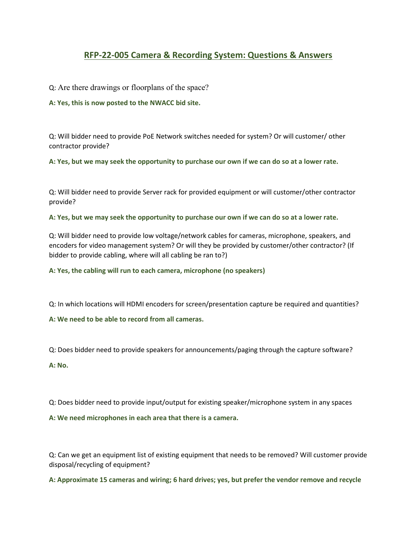## RFP-22-005 Camera & Recording System: Questions & Answers

Q: Are there drawings or floorplans of the space?

A: Yes, this is now posted to the NWACC bid site.

Q: Will bidder need to provide PoE Network switches needed for system? Or will customer/ other contractor provide?

A: Yes, but we may seek the opportunity to purchase our own if we can do so at a lower rate.

Q: Will bidder need to provide Server rack for provided equipment or will customer/other contractor provide?

A: Yes, but we may seek the opportunity to purchase our own if we can do so at a lower rate.

Q: Will bidder need to provide low voltage/network cables for cameras, microphone, speakers, and encoders for video management system? Or will they be provided by customer/other contractor? (If bidder to provide cabling, where will all cabling be ran to?)

A: Yes, the cabling will run to each camera, microphone (no speakers)

Q: In which locations will HDMI encoders for screen/presentation capture be required and quantities?

A: We need to be able to record from all cameras.

Q: Does bidder need to provide speakers for announcements/paging through the capture software?

A: No.

Q: Does bidder need to provide input/output for existing speaker/microphone system in any spaces

A: We need microphones in each area that there is a camera.

Q: Can we get an equipment list of existing equipment that needs to be removed? Will customer provide disposal/recycling of equipment?

A: Approximate 15 cameras and wiring; 6 hard drives; yes, but prefer the vendor remove and recycle